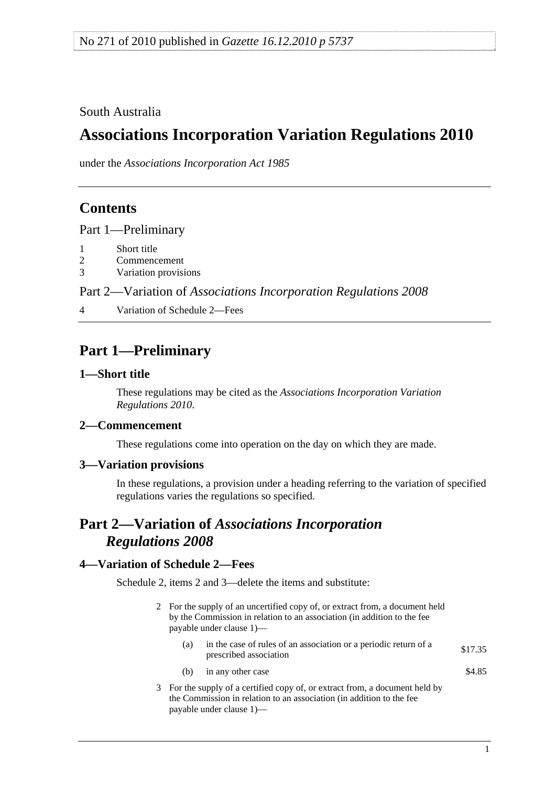<span id="page-0-0"></span>South Australia

# **Associations Incorporation Variation Regulations 2010**

under the *Associations Incorporation Act 1985*

## **Contents**

[Part 1—Preliminary](#page-0-0)

- [1 Short title](#page-0-0)
- [2 Commencement](#page-0-0)
- [3 Variation provisions](#page-0-0)

Part 2—Variation of *[Associations Incorporation Regulations 2008](#page-0-0)*

[4 Variation of Schedule 2—Fees](#page-0-0) 

## **Part 1—Preliminary**

### **1—Short title**

These regulations may be cited as the *Associations Incorporation Variation Regulations 2010*.

### **2—Commencement**

These regulations come into operation on the day on which they are made.

### **3—Variation provisions**

In these regulations, a provision under a heading referring to the variation of specified regulations varies the regulations so specified.

## **Part 2—Variation of** *Associations Incorporation Regulations 2008*

### **4—Variation of Schedule 2—Fees**

Schedule 2, items 2 and 3—delete the items and substitute:

- 2 For the supply of an uncertified copy of, or extract from, a document held by the Commission in relation to an association (in addition to the fee payable under clause 1)—
	- (a) in the case of rules of an association or a periodic return of a sprescribed association \$17.35
		- (b) in any other case  $\$4.85$
- 3 For the supply of a certified copy of, or extract from, a document held by the Commission in relation to an association (in addition to the fee payable under clause 1)—